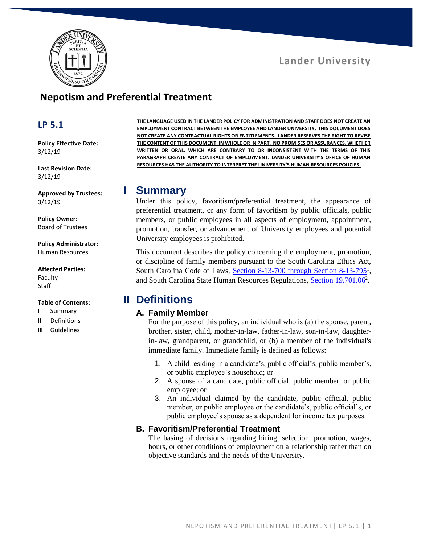## **Lander University**



# **Nepotism and Preferential Treatment**

### **LP 5.1**

**Policy Effective Date:** 3/12/19

**Last Revision Date:** 3/12/19

**Approved by Trustees:** 3/12/19

**Policy Owner:** Board of Trustees

**Policy Administrator:** Human Resources

#### **Affected Parties:**

Faculty **Staff** 

#### **Table of Contents:**

- **I** Summary
- **II** Definitions
- **III** Guidelines

**THE LANGUAGE USED IN THE LANDER POLICY FOR ADMINISTRATION AND STAFF DOES NOT CREATE AN EMPLOYMENT CONTRACT BETWEEN THE EMPLOYEE AND LANDER UNIVERSITY. THIS DOCUMENT DOES NOT CREATE ANY CONTRACTUAL RIGHTS OR ENTITLEMENTS. LANDER RESERVES THE RIGHT TO REVISE THE CONTENT OF THIS DOCUMENT, IN WHOLE OR IN PART. NO PROMISES OR ASSURANCES, WHETHER WRITTEN OR ORAL, WHICH ARE CONTRARY TO OR INCONSISTENT WITH THE TERMS OF THIS PARAGRAPH CREATE ANY CONTRACT OF EMPLOYMENT. LANDER UNIVERSITY'S OFFICE OF HUMAN RESOURCES HAS THE AUTHORITY TO INTERPRET THE UNIVERSITY'S HUMAN RESOURCES POLICIES.**

### **I Summary**

Under this policy, favoritism/preferential treatment, the appearance of preferential treatment, or any form of favoritism by public officials, public members, or public employees in all aspects of employment, appointment, promotion, transfer, or advancement of University employees and potential University employees is prohibited.

This document describes the policy concerning the employment, promotion, or discipline of family members pursuant to the South Carolina Ethics Act, South Carolina Code of Laws, [Section 8-13-700 through Section 8-13-795](https://www.scstatehouse.gov/code/t08c013.php)<sup>1</sup>, and South Carolina State Human Resources Regulations, [Section 19.701.06](https://www.admin.sc.gov/files/2016%20HR%20Regulations-Combined%20Website%20Version.pdf)<sup>2</sup>.

# **II Definitions**

#### **A. Family Member**

For the purpose of this policy, an individual who is (a) the spouse, parent, brother, sister, child, mother-in-law, father-in-law, son-in-law, daughterin-law, grandparent, or grandchild, or (b) a member of the individual's immediate family. Immediate family is defined as follows:

- 1. A child residing in a candidate's, public official's, public member's, or public employee's household; or
- 2. A spouse of a candidate, public official, public member, or public employee; or
- 3. An individual claimed by the candidate, public official, public member, or public employee or the candidate's, public official's, or public employee's spouse as a dependent for income tax purposes.

#### **B. Favoritism/Preferential Treatment**

The basing of decisions regarding hiring, selection, promotion, wages, hours, or other conditions of employment on a relationship rather than on objective standards and the needs of the University.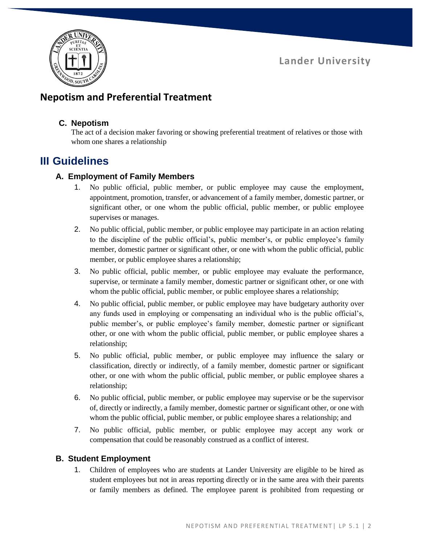**Lander University**



# **Nepotism and Preferential Treatment**

#### **C. Nepotism**

The act of a decision maker favoring or showing preferential treatment of relatives or those with whom one shares a relationship

# **III Guidelines**

### **A. Employment of Family Members**

- 1. No public official, public member, or public employee may cause the employment, appointment, promotion, transfer, or advancement of a family member, domestic partner, or significant other, or one whom the public official, public member, or public employee supervises or manages.
- 2. No public official, public member, or public employee may participate in an action relating to the discipline of the public official's, public member's, or public employee's family member, domestic partner or significant other, or one with whom the public official, public member, or public employee shares a relationship;
- 3. No public official, public member, or public employee may evaluate the performance, supervise, or terminate a family member, domestic partner or significant other, or one with whom the public official, public member, or public employee shares a relationship;
- 4. No public official, public member, or public employee may have budgetary authority over any funds used in employing or compensating an individual who is the public official's, public member's, or public employee's family member, domestic partner or significant other, or one with whom the public official, public member, or public employee shares a relationship;
- 5. No public official, public member, or public employee may influence the salary or classification, directly or indirectly, of a family member, domestic partner or significant other, or one with whom the public official, public member, or public employee shares a relationship;
- 6. No public official, public member, or public employee may supervise or be the supervisor of, directly or indirectly, a family member, domestic partner or significant other, or one with whom the public official, public member, or public employee shares a relationship; and
- 7. No public official, public member, or public employee may accept any work or compensation that could be reasonably construed as a conflict of interest.

### **B. Student Employment**

1. Children of employees who are students at Lander University are eligible to be hired as student employees but not in areas reporting directly or in the same area with their parents or family members as defined. The employee parent is prohibited from requesting or